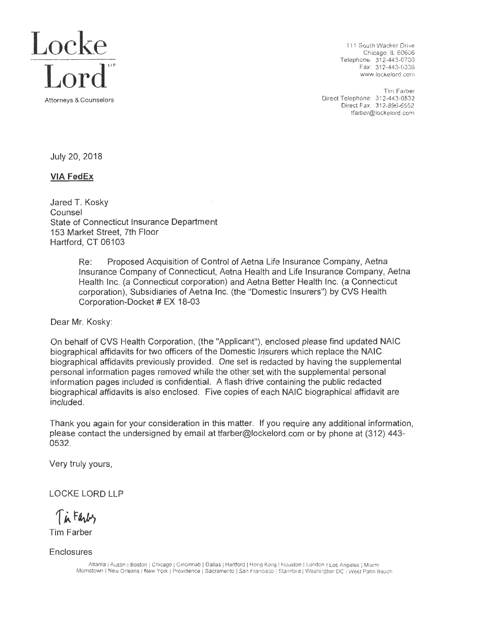

Chicago. IL 60606 Telephone: 312-443-0700<br>Fax: 312-443-0336

Tim Farber<br>Direct Telephone: 312-443-0532 Direct Telephone: 312-443-0532 .<br>Direct Fax: 312-896-6552 torneys & Counselors Direct Fax: 312-896-6552 tfarber@lockelord.com

July 20, 2018

## **VIA FedEx**

Jared T. Kosky Counsel State of Connecticut Insurance Department 153 Market Street, 7th Floor Hartford, CT 06103

> Re: Proposed Acquisition of Control of Aetna Life Insurance Company, Aetna Insurance Company of Connecticut, Aetna Health and Life Insurance Company, Aetna Health Inc. (a Connecticut corporation) and Aetna Better Health Inc. (a Connecticut corporation), Subsidiaries of Aetna Inc. (the "Domestic Insurers") by CVS Health Corporation-Docket # EX 18-03

Dear Mr. Kosky:

On behalf of CVS Health Corporation, (the "Applicant"), enclosed please find updated NAIC biographical affidavits for two officers of the Domestic 11surers which replace the NAIC biographical affidavits previously provided. One set is redacted by having the supplemental personal information pages removed while the other set with the supplemental personal information pages included is confidential. A flash drive containing the public redacted biographical affidavits is also enclosed. Five copies of each NAIC biographical affidavit are included.

Thank you again for your consideration in this matter. If you require any additional information, please contact the undersigned by email at tfarber@lockelord.com or by phone at (312) 443- 0532.

Very truly yours,

LOCKE LORD LLP

Tin Farly

Tim Farber

Enclosures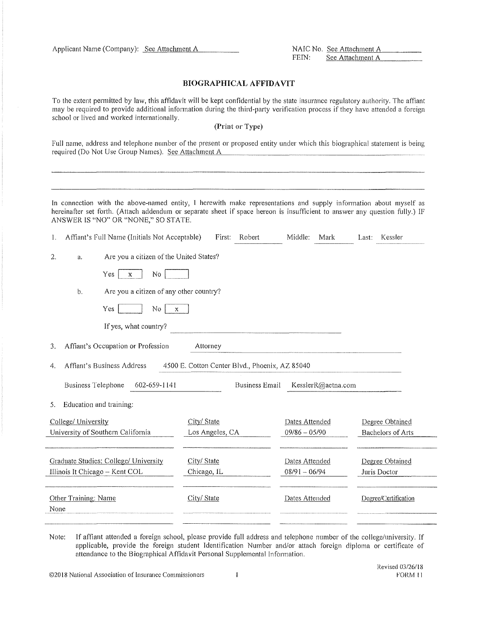Applicant Name (Company): See J\tta,~c~Ju=1=1e~n=t~A~---- NAIC No. See Attaclunent A \_\_ \_ See Attachment A

#### **BIOGRAPHICAL AFFIDAVIT**

To the extent permitted by law, this affidavit will be kept confidential by the state insurance regulatory authority. The affiant may be required to provide additional information during the third-party verification process if they have attended a foreign school or lived and worked internationally.

### **(Print or Type)**

Full name, address and telephone number of the present or proposed entity under which this biographical statement is being required (Do Not Use Group Names). See Attachment A

In connection with the above-named entity, I herewith make representations and supply information about myself as hereinafter set forth. (Attach addendum or separate sheet if space hereon is insufficient to answer any question fully.) IF ANSWER IS "NO" OR "NONE," SO STATE.

|      |                           | Affiant's Full Name (Initials Not Acceptable) | First:          | Robert                                         | Middle:<br>Mark    | Kessler<br>Last:         |
|------|---------------------------|-----------------------------------------------|-----------------|------------------------------------------------|--------------------|--------------------------|
| 2.   | a.                        | Are you a citizen of the United States?       |                 |                                                |                    |                          |
|      |                           | No<br>Yes<br>$\mathbf{x}$                     |                 |                                                |                    |                          |
|      | b.                        | Are you a citizen of any other country?       |                 |                                                |                    |                          |
|      |                           | Yes<br>No<br>$\mathbf{x}$                     |                 |                                                |                    |                          |
|      |                           | If yes, what country?                         |                 |                                                |                    |                          |
| 3.   |                           | Affiant's Occupation or Profession            | Attorney        |                                                |                    |                          |
| 4.   |                           | Affiant's Business Address                    |                 | 4500 E. Cotton Center Blvd., Phoenix, AZ 85040 |                    |                          |
|      | <b>Business Telephone</b> | 602-659-1141                                  |                 | Business Email                                 | KesslerR@aetna.com |                          |
| 5.   | Education and training:   |                                               |                 |                                                |                    |                          |
|      | College/ University       |                                               | City/State      |                                                | Dates Attended     | Degree Obtained          |
|      |                           | University of Southern California             | Los Angeles, CA |                                                | $09/86 - 05/90$    | <b>Bachelors of Arts</b> |
|      |                           | Graduate Studies: College/ University         | City/ State     |                                                | Dates Attended     | Degree Obtained          |
|      |                           | Illinois It Chicago - Kent COL                | Chicago, IL     |                                                | $08/91 - 06/94$    | Juris Doctor             |
| None | Other Training; Name      |                                               | City/ State     |                                                | Dates Attended     | Degree/Certification     |
|      |                           |                                               |                 |                                                |                    |                          |

Note: If affiant attended a foreign school, please provide full address and telephone number of the college/university. If applicable, provide the foreign student Identification Number and/or attach foreign diploma or certificate of attendance to the Biographical Affidavit Personal Supplemental Information.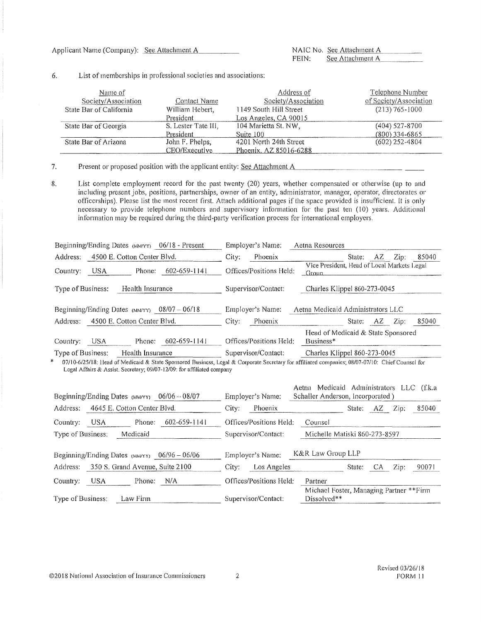#### 6. List of memberships in professional societies and associations:

| Name of                 |                     | Address of             | Telephone Number       |
|-------------------------|---------------------|------------------------|------------------------|
| Society/Association     | Contact Name        | Society/Association    | of Society/Association |
| State Bar of California | William Hebert,     | 1149 South Hill Street | $(213) 765 - 1000$     |
|                         | President           | Los Angeles, CA 90015  |                        |
| State Bar of Georgia    | S. Lester Tate III. | 104 Marietta St. NW,   | $(404)$ 527-8700       |
|                         | President           | Suite 100              | $(800)$ 334-6865       |
| State Bar of Arizona    | John F. Phelps,     | 4201 North 24th Street | $(602)$ 252-4804       |
|                         | CEO/Executive       | Phoenix, AZ 85016-6288 |                        |

7. Present or proposed position with the applicant entity: See Attachment A

8. List complete employment record for the past twenty (20) years, whether compensated or otherwise (up to and including present jobs, positions, partnerships, owner of an entity, administrator, manager, operator, directorates or officerships). Please list the most recent first. Attach additional pages if the space provided is insufficient. [t is only necessary to provide telephone numbers and supervisory information for the past ten (10) years. Additional information may be required during the third-party verification process for international employers.

| Beginning/Ending Dates (MM/YY) 06/18 - Present                | Employer's Name:        | Aetna Resources                                                                       |
|---------------------------------------------------------------|-------------------------|---------------------------------------------------------------------------------------|
| 4500 E. Cotton Center Blvd.<br>Address:                       | Phoenix<br>City:        | Zip:<br>85040<br>State:<br>AZ                                                         |
| 602-659-1141<br>USA.<br>Phone:<br>Country:                    | Offices/Positions Held: | Vice President, Head of Local Markets Legal<br>Group                                  |
| Type of Business:<br>Health Insurance                         | Supervisor/Contact:     | Charles Klippel 860-273-0045                                                          |
| Beginning/Ending Dates (MM/YY) $08/07 - 06/18$                | Employer's Name:        | Aetna Medicaid Administrators LLC                                                     |
| 4500 E. Cotton Center Blvd.<br>Address:                       | Phoenix<br>City:        | 85040<br>Zip:<br>State:<br>AZ                                                         |
| 602-659-1141<br>USA.<br>Phone:<br>Country:                    | Offices/Positions Held: | Head of Medicaid & State Sponsored<br>Business*                                       |
| Type of Business:<br>Health Insurance                         | Supervisor/Contact:     | Charles Klippel 860-273-0045                                                          |
| * 07/10 6/25/19: Head of Medicaid & State Spansared Dunings 1 |                         | east be Cornerate Secretary for efficient communication 00/07 07/10: Chick Counce for |

07/10-6/25/18: Head of Medicaid & State Sponsored Business, Legal & Corporate Secretary for affiliated companies; 08/07-07/10: Chief Counsel for Legal Affairs & Assist. Secretary; 09/07-12/09: for affiliated company

| Beginning/Ending Dates (MM/YY) 06/06 - 08/07     | Employer's Name:        | Medicaid Administrators LLC (f.k.a<br>Aetna<br>Schaller Anderson, Incorporated) |
|--------------------------------------------------|-------------------------|---------------------------------------------------------------------------------|
| Address:<br>4645 E. Cotton Center Blyd.          | Phoenix<br>City:        | 85040<br>State:<br>Zip:<br>AZ.                                                  |
| USA.<br>$602 - 659 - 1141$<br>Phone:<br>Country: | Offices/Positions Held: | Counsel                                                                         |
| Type of Business:<br>Medicaid                    | Supervisor/Contact:     | Michelle Matiski 860-273-8597                                                   |
| Beginning/Ending Dates (MMYY) $06/96 - 06/06$    | Employer's Name:        | K&R Law Group LLP                                                               |
| 350 S. Grand Avenue, Suite 2100<br>Address:      | City:<br>Los Angeles    | Zip:<br>90071<br>State:<br>CA                                                   |
| N/A<br>USA.<br>Phone:<br>Country:                | Offices/Positions Held: | Partner                                                                         |
| Law Firm<br>Type of Business:                    | Supervisor/Contact:     | Michael Foster, Managing Partner **Firm<br>$Discolved**$                        |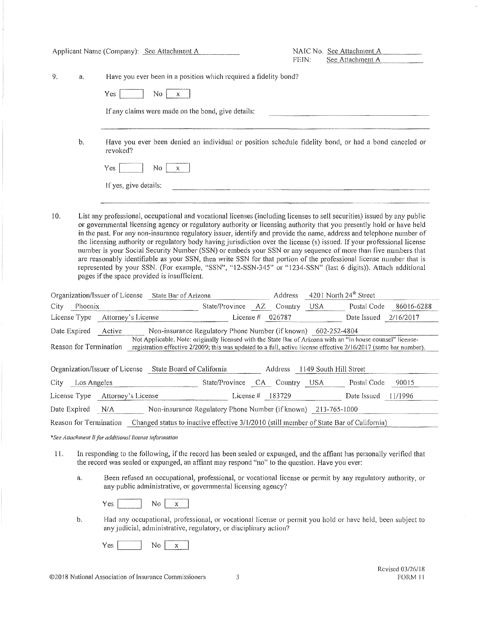| Applicant Name (Company): See Attachment A |             |                                                      | FEIN:                                                                                               | NAIC No. See Attachment A<br>See Attachment A |                    |                                                                                                                                                                                                                                                                                                                                                                                                                                                                                                                                                                                                                                                                                                                                                                        |            |
|--------------------------------------------|-------------|------------------------------------------------------|-----------------------------------------------------------------------------------------------------|-----------------------------------------------|--------------------|------------------------------------------------------------------------------------------------------------------------------------------------------------------------------------------------------------------------------------------------------------------------------------------------------------------------------------------------------------------------------------------------------------------------------------------------------------------------------------------------------------------------------------------------------------------------------------------------------------------------------------------------------------------------------------------------------------------------------------------------------------------------|------------|
| 9.                                         | a.          |                                                      | Have you ever been in a position which required a fidelity bond?                                    |                                               |                    |                                                                                                                                                                                                                                                                                                                                                                                                                                                                                                                                                                                                                                                                                                                                                                        |            |
|                                            |             | Yes                                                  | No<br>$\mathbf x$                                                                                   |                                               |                    |                                                                                                                                                                                                                                                                                                                                                                                                                                                                                                                                                                                                                                                                                                                                                                        |            |
|                                            |             |                                                      | If any claims were made on the bond, give details:                                                  |                                               |                    |                                                                                                                                                                                                                                                                                                                                                                                                                                                                                                                                                                                                                                                                                                                                                                        |            |
|                                            | b.          | revoked?                                             |                                                                                                     |                                               |                    | Have you ever been denied an individual or position schedule fidelity bond, or had a bond canceled or                                                                                                                                                                                                                                                                                                                                                                                                                                                                                                                                                                                                                                                                  |            |
|                                            |             | Yes                                                  | No.<br>X                                                                                            |                                               |                    |                                                                                                                                                                                                                                                                                                                                                                                                                                                                                                                                                                                                                                                                                                                                                                        |            |
|                                            |             | If yes, give details:                                |                                                                                                     |                                               |                    |                                                                                                                                                                                                                                                                                                                                                                                                                                                                                                                                                                                                                                                                                                                                                                        |            |
|                                            |             |                                                      | pages if the space provided is insufficient.<br>Organization/Issuer of License State Bar of Arizona |                                               | Address            | or governmental licensing agency or regulatory authority or licensing authority that you presently hold or have held<br>in the past. For any non-insurance regulatory issuer, identify and provide the name, address and telephone number of<br>the licensing authority or regulatory body having jurisdiction over the license (s) issued. If your professional license<br>number is your Social Security Number (SSN) or embeds your SSN or any sequence of more than five numbers that<br>are reasonably identifiable as your SSN, then write SSN for that portion of the professional license number that is<br>represented by your SSN. (For example, "SSN", "12-SSN-345" or "1234-SSN" (last 6 digits)). Attach additional<br>4201 North 24 <sup>th</sup> Street |            |
| City                                       | Phoenix     |                                                      |                                                                                                     | State/Province AZ Country USA                 |                    | Postal Code                                                                                                                                                                                                                                                                                                                                                                                                                                                                                                                                                                                                                                                                                                                                                            | 86016-6288 |
| License Type                               |             | Attorney's License                                   |                                                                                                     |                                               | License $#$ 026787 | Date Issued 2/16/2017                                                                                                                                                                                                                                                                                                                                                                                                                                                                                                                                                                                                                                                                                                                                                  |            |
| Date Expired<br>Reason for Termination     |             | Active                                               | Non-insurance Regulatory Phone Number (if known) 602-252-4804                                       |                                               |                    | Not Applicable. Note: originally licensed with the State Bar of Arizona with an "in house counsel" license-<br>registration effective 2/2009; this was updated to a full, active license effective 2/16/2017 (same bar number).                                                                                                                                                                                                                                                                                                                                                                                                                                                                                                                                        |            |
|                                            |             |                                                      | Organization/Issuer of License State Board of California                                            |                                               | Address            | 1149 South Hill Street                                                                                                                                                                                                                                                                                                                                                                                                                                                                                                                                                                                                                                                                                                                                                 |            |
| City                                       | Los Angeles |                                                      |                                                                                                     | State/Province CA Country USA                 |                    | Postal Code                                                                                                                                                                                                                                                                                                                                                                                                                                                                                                                                                                                                                                                                                                                                                            | 90015      |
|                                            |             | License Type Attorney's License                      |                                                                                                     |                                               |                    | License # $\frac{183729}{ }$ Date Issued $\frac{11/1996}{ }$                                                                                                                                                                                                                                                                                                                                                                                                                                                                                                                                                                                                                                                                                                           |            |
| Date Expired                               |             | N/A                                                  | Non-insurance Regulatory Phone Number (if known) 213-765-1000                                       |                                               |                    |                                                                                                                                                                                                                                                                                                                                                                                                                                                                                                                                                                                                                                                                                                                                                                        |            |
| Reason for Termination                     |             |                                                      |                                                                                                     |                                               |                    | Changed status to inactive effective 3/1/2010 (still member of State Bar of California)                                                                                                                                                                                                                                                                                                                                                                                                                                                                                                                                                                                                                                                                                |            |
|                                            |             | *See Attachment B for additional license information |                                                                                                     |                                               |                    |                                                                                                                                                                                                                                                                                                                                                                                                                                                                                                                                                                                                                                                                                                                                                                        |            |
| $\mathbf{H}$ .                             |             |                                                      | the record was sealed or expunged, an affiant may respond "no" to the question. Have you ever:      |                                               |                    | In responding to the following, if the record has been sealed or expunged, and the affiant has personally verified that                                                                                                                                                                                                                                                                                                                                                                                                                                                                                                                                                                                                                                                |            |

a. Been refused an occupational, professional, or vocational license or permit by any regulatory authority, or any public administrative, or governmental licensing agency?

 $Yes$   $No$   $x$ 

b. Had any occupational, professional, or vocational license or permit you hold or have held, been subject to any judicial, administrative, regulatory, or disciplinary action?

 $Yes$  No  $x$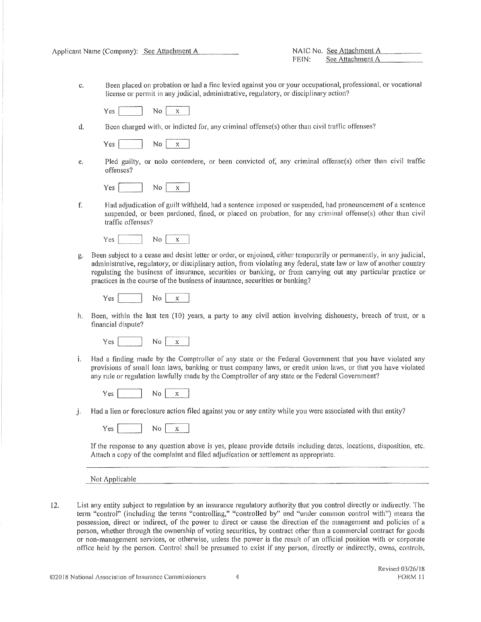| Applicant Name (Company): |  |  | - See Attachment A |
|---------------------------|--|--|--------------------|
|---------------------------|--|--|--------------------|

Applicant Name (Name (Company): See Attachment A<br>FEIN: See Attachment A See Attachment A

c. Been placed on probation or had a fine levied against you or your occupational, professional, or vocational license or permit in any judicial, administrative, regulatory, or disciplinary action?

 $Yes$   $No {x}$ 

d. Been charged with, or indicted for, any criminal offense(s) other than civil traffic offenses?

|  | --- |
|--|-----|
|  |     |

e. Pled guilty, or nolo contendere, or been convicted of, any criminal offense(s) other than civil traffic offenses?

f. Had adjudication of guilt withheld, had a sentence imposed or suspended, had pronouncement of a sentence suspended, or been pardoned, fined, or placed on probation, for any criminal offense(s) other than civil traffic offenses?

 $Yes$   $\boxed{\ }$  No  $\boxed{x}$ 

g. Been subject to a cease and desist letter or order, or enjoined, either temporarily or permanently, in any judicial, administrative, regulatory, or disciplinary action, from violating any federal, state law or law of another country regulating the business of insurance, securities or banking, or from carrying out any particular practice or practices in the course of the business of insurance, securities or banking?

$$
Yes \boxed{\qquad No \boxed{x}}
$$

h. Been, within the last ten (10) years, a party to any civil action involving dishonesty, breach of trust, or a financial dispute?

 $Yes$   $No$   $\boxed{x}$ 

i. Had a finding made by the Comptroller of any state or the Federal Government that you have violated any provisions of small loan laws, banking or trust company laws, or credit union laws, or that you have violated any rule or regulation lawfully made by the Comptroller of any state or the Federal Government?

 $Yes$  No  $x$ 

j. Had a lien or foreclosure action filed against you or any entity while you were associated with that entity?

If the response to any question above is yes, please provide details including dates, locations, disposition, etc. Attach a copy of the complaint and filed adjudication or settlement as appropriate.

Not Applicable

12. List any entity subject to regulation by an insurance regulatory authority that you control directly or indirectly. The term "control" (including the terms "controlling," "controlled by" and "under common control with") means the possession, direct or indirect, of the power to direct or cause the direction of the management and policies of a person, whether through the ownership of voting securities, by contract other than a commercial contract for goods or non-management services, or otherwise, unless the power is the result of an official position with or corporate office held by the person. Control shall be presumed to exist if any person, directly or indirectly, owns, controls,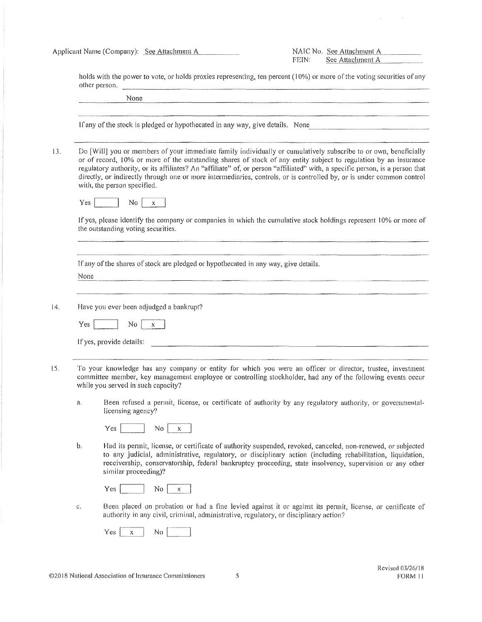Applicant Name (Company): See Attachme.~n~t~A~-- NATC No . .See Attachmc11LA \_\_\_\_\_\_\_\_\_\_\_ \_

See Attachment A

holds with the power to vote, or holds proxies representing, ten percent (10%) or more of the voting securities of any other person. ----··---·------------------- None ---··-·--·------ If any of the stock is pledged or hypothecated in any way, give details. None 13. Do [Will] you or members of your immediate family individually or cumulatively subscribe to or own, beneficially or of record, l 0% or more of the outstanding shares of stock of any entity subject to regulation by an insurance regulatory authority, or its affiliates? An "affiliate" of, or person "affiliated" with, a specific person, is a person that directly, or indirectly through one or more intermediaries, controls, or is controlled by, or is under common control with, the person specified.  $Yes \fbox{S}$  No  $x$ If yes, please identify the company or companies in which the cumulative stock holdings represent 10% or more of the outstanding voting securities. If any of the shares of stock are pledged or hypothecated in any way, give details. None 14. Have you ever been adjudged a bankrupt?  $Yes$   $No$   $\boxed{x}$ If yes, provide details: 15. To your knowledge has any company or entity for which you were an officer or director, trustee, investment committee member, key management employee or controlling stockholder, had any of the following events occur while you served in such capacity? a. Been refused a permit, license, or certificate of authority by any regulatory authority, or governmentallicensing agency?  $Yes$  No  $x$ b. Had its permit, license, or certificate of authority suspended, revoked, canceled, non-renewed, or subjected to any judicial, administrative, regulatory, or disciplinary action (including rehabilitation, liquidation, receivership, conservatorship, federal bankruptcy proceeding, state insolvency, supervision or any other similar proceeding)?  $Yes$  No  $x$ c. Been placed on probation or had a fine levied against it or against its permit, license, or certificate of authority in any civil, criminal, administrative, regulatory, or disciplinary action?  $Yes$  $\mathbf x$ No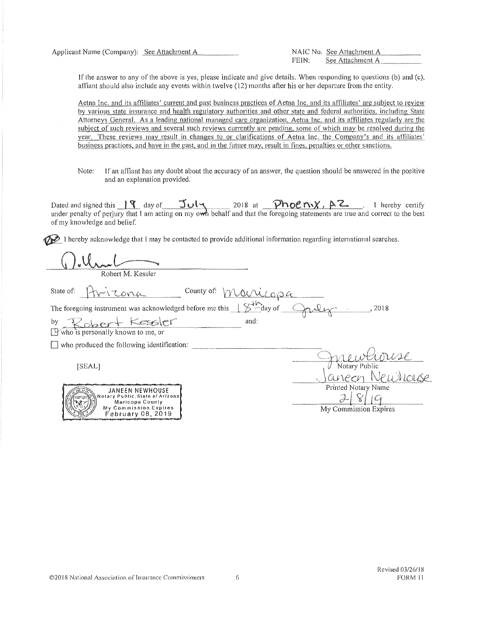Applicant Name (Company): See Att.~a~c~h1\_n~e\_n~t~A~------ NAIC No. See Attachment *A \_\_ \_* 

See Attachment A

If the answer to any of the above is yes, please indicate and give details. When responding to questions (b) and (c), affiant should also include any events within twelve (12) months after his or her departure from the entity.

Aetna Inc. and its affiliates' current and past business practices of Aetna Inc. and its affiliates' are subject to review by various state insurance and health regulatory authorities and other state and federal authorities, including State Attorneys General. As a leading national managed care organization, Aetna Inc. and its affiliates regularly are the subject of such reviews and several such reviews currently are pending, some of which may be resolved during the year. These reviews may result in changes to or clarifications of Aetna Inc. the Company's and its affiliates' business practices, and have in the past, and in the future may, result in fines, penalties or other sanctions.

Note: If an affiant has any doubt about the accuracy of an answer, the question should be answered in the positive and an explanation provided.

Dated and signed this  $\frac{|\Psi|}{|\Psi|}$  day of  $\frac{|\Psi|}{|\Psi|}$  2018 at  $\frac{|\partial \Phi|}{|\partial \Psi|}$   $\frac{|\partial \Phi|}{|\partial \Psi|}$ . I hereby certify under penalty of perjury that I am acting on my own behalf and that the foregoing statements are true and correct to the best of my knowledge and belief.

 $\mathscr{D}$  I hereby acknowledge that I may be contacted to provide additional information regarding international searches.

) Und Context M. Kessler

State of:  $\left[\begin{array}{ccc} -\sqrt{\sqrt{2}} & \sqrt{2} & \sqrt{2} \\ \end{array}\right]$  County of:

The foregoing instrument was acknowledged before me this  $\Box \geq$  $and:$ 

by ..... ·,z f">\?erJ· k::.e:.~..5,\er" [9"who 1s personally known to me, or

 $\Box$  who produced the following identification:

[SEAL]

| Notary Public         |
|-----------------------|
| Ney                   |
| Printed Notary Name   |
|                       |
| My Commission Expires |

©2018 National Association of Insurance Commissioners 6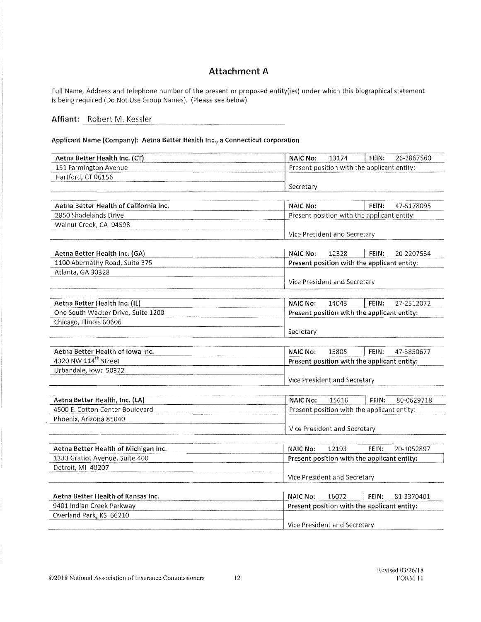# **Attachment A**

Full Name, Address and telephone number of the present or proposed entity(ies) under which this biographical statement is being required (Do Not Use Group Names). (Please see below)

### Affiant: Robert M. Kessler

**Applicant Name (Company): Aetna Better Health Inc., a Connecticut corporation** 

| Aetna Better Health Inc. (CT)          | <b>NAIC No:</b><br>13174<br>26-2867560<br>FEIN: |
|----------------------------------------|-------------------------------------------------|
| 151 Farmington Avenue                  | Present position with the applicant entity:     |
| Hartford, CT 06156                     |                                                 |
|                                        | Secretary                                       |
|                                        |                                                 |
| Aetna Better Health of California Inc. | FEIN:<br><b>NAIC No:</b><br>47-5178095          |
| 2850 Shadelands Drive                  | Present position with the applicant entity:     |
| Walnut Creek, CA 94598                 |                                                 |
|                                        | Vice President and Secretary                    |
|                                        |                                                 |
| Aetna Better Health Inc. (GA)          | FEIN:<br><b>NAIC No:</b><br>12328<br>20-2207534 |
| 1100 Abernathy Road, Suite 375         | Present position with the applicant entity:     |
| Atlanta, GA 30328                      |                                                 |
|                                        | Vice President and Secretary                    |
|                                        |                                                 |
| Aetna Better Health Inc. (IL)          | FEIN:<br>27-2512072<br><b>NAIC No:</b><br>14043 |
| One South Wacker Drive, Suite 1200     | Present position with the applicant entity:     |
| Chicago, Illinois 60606                |                                                 |
|                                        | Secretary                                       |
|                                        |                                                 |
| Aetna Better Health of Iowa Inc.       | 15805<br>47-3850677<br>FEIN:<br><b>NAIC No:</b> |
| 4320 NW 114 <sup>th</sup> Street       | Present position with the applicant entity:     |
| Urbandale, Iowa 50322                  |                                                 |
|                                        | Vice President and Secretary                    |
|                                        |                                                 |
| Aetna Better Health, Inc. (LA)         | <b>NAIC No:</b><br>15616<br>FEIN:<br>80-0629718 |
| 4500 E. Cotton Center Boulevard        | Present position with the applicant entity:     |
| Phoenix, Arizona 85040                 |                                                 |
|                                        | Vice President and Secretary                    |
|                                        |                                                 |
| Aetna Better Health of Michigan Inc.   | FEIN:<br><b>NAIC No:</b><br>12193<br>20-1052897 |
| 1333 Gratiot Avenue, Suite 400         | Present position with the applicant entity:     |
| Detroit, MI 48207                      |                                                 |
|                                        | Vice President and Secretary                    |
|                                        |                                                 |
| Aetna Better Health of Kansas Inc.     | <b>NAIC No:</b><br>16072<br>FEIN:<br>81-3370401 |
| 9401 Indian Creek Parkway              | Present position with the applicant entity:     |
| Overland Park, KS 66210                |                                                 |
|                                        | Vice President and Secretary                    |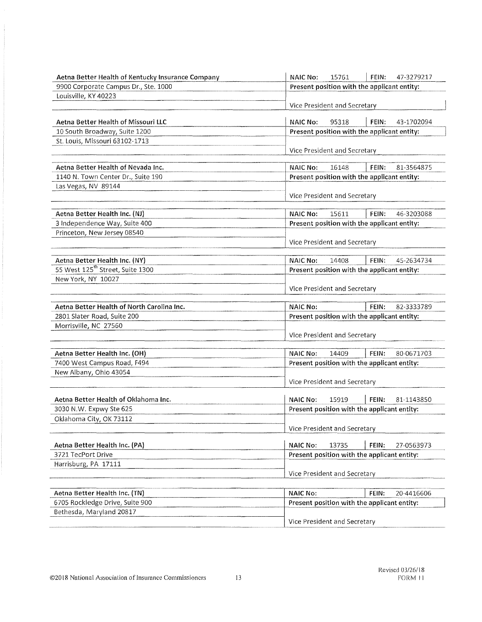| Aetna Better Health of Kentucky Insurance Company | <b>NAIC No:</b><br>15761<br>FEIN:<br>47-3279217 |  |  |  |  |
|---------------------------------------------------|-------------------------------------------------|--|--|--|--|
| 9900 Corporate Campus Dr., Ste. 1000              | Present position with the applicant entity:     |  |  |  |  |
| Louisville, KY 40223                              |                                                 |  |  |  |  |
|                                                   | Vice President and Secretary                    |  |  |  |  |
| <b>Aetna Better Health of Missouri LLC</b>        | <b>NAIC No:</b><br>FEIN:<br>95318<br>43-1702094 |  |  |  |  |
| 10 South Broadway, Suite 1200                     | Present position with the applicant entity:     |  |  |  |  |
| St. Louis, Missouri 63102-1713                    |                                                 |  |  |  |  |
|                                                   | Vice President and Secretary                    |  |  |  |  |
| Aetna Better Health of Nevada Inc.                | 16148<br>FEIN:<br>81-3564875<br><b>NAIC No:</b> |  |  |  |  |
| 1140 N. Town Center Dr., Suite 190                | Present position with the applicant entity:     |  |  |  |  |
| Las Vegas, NV 89144                               |                                                 |  |  |  |  |
|                                                   | Vice President and Secretary                    |  |  |  |  |
| Aetna Better Health Inc. (NJ)                     | 15611<br>46-3203088<br><b>NAIC No:</b><br>FEIN: |  |  |  |  |
| 3 Independence Way, Suite 400                     | Present position with the applicant entity:     |  |  |  |  |
| Princeton, New Jersey 08540                       |                                                 |  |  |  |  |
|                                                   | Vice President and Secretary                    |  |  |  |  |
| Aetna Better Health Inc. (NY)                     | <b>NAIC No:</b><br>14408<br>FEIN:<br>45-2634734 |  |  |  |  |
| 55 West 125 <sup>th</sup> Street, Suite 1300      | Present position with the applicant entity:     |  |  |  |  |
| New York, NY 10027                                |                                                 |  |  |  |  |
|                                                   | Vice President and Secretary                    |  |  |  |  |
| Aetna Better Health of North Carolina Inc.        | <b>NAIC No:</b><br>FEIN:<br>82-3333789          |  |  |  |  |
| 2801 Slater Road, Suite 200                       | Present position with the applicant entity:     |  |  |  |  |
| Morrisville, NC 27560                             |                                                 |  |  |  |  |
|                                                   | Vice President and Secretary                    |  |  |  |  |
| Aetna Better Health Inc. (OH)                     | 14409<br>80-0671703<br><b>NAIC No:</b><br>FEIN: |  |  |  |  |
| 7400 West Campus Road, F494                       | Present position with the applicant entity:     |  |  |  |  |
| New Albany, Ohio 43054                            |                                                 |  |  |  |  |
|                                                   | Vice President and Secretary                    |  |  |  |  |
| Aetna Better Health of Oklahoma Inc.              | <b>NAIC No:</b><br>FEIN:<br>15919<br>81-1143850 |  |  |  |  |
| 3030 N.W. Expwy Ste 625                           | Present position with the applicant entity:     |  |  |  |  |
| Oklahoma City, OK 73112                           |                                                 |  |  |  |  |
|                                                   | Vice President and Secretary                    |  |  |  |  |
| Aetna Better Health Inc. (PA)                     | <b>NAIC No:</b><br>13735<br>FEIN:<br>27-0563973 |  |  |  |  |
| 3721 TecPort Drive                                | Present position with the applicant entity:     |  |  |  |  |
| Harrisburg, PA 17111                              |                                                 |  |  |  |  |
|                                                   | Vice President and Secretary                    |  |  |  |  |
|                                                   |                                                 |  |  |  |  |
| Aetna Better Health Inc. (TN)                     | <b>NAIC No:</b><br>FEIN:<br>20-4416606          |  |  |  |  |
| 6705 Rockledge Drive, Suite 900                   | Present position with the applicant entity:     |  |  |  |  |
| Bethesda, Maryland 20817                          |                                                 |  |  |  |  |
|                                                   | Vice President and Secretary                    |  |  |  |  |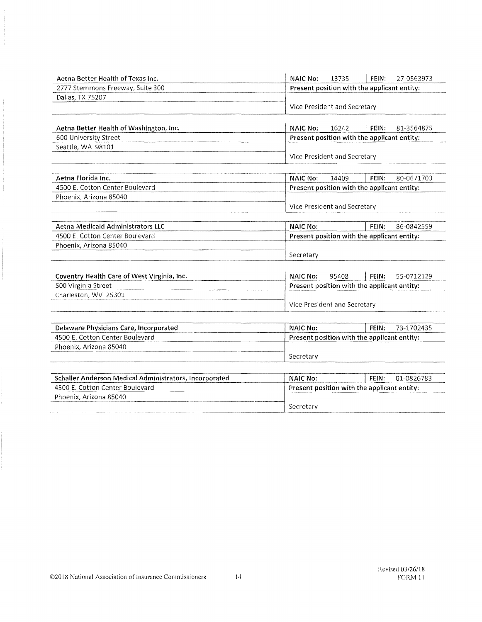| Aetna Better Health of Texas Inc.                                  | <b>NAIC No:</b>                             | 13735                                           | FEIN: | 27-0563973 |  |  |  |
|--------------------------------------------------------------------|---------------------------------------------|-------------------------------------------------|-------|------------|--|--|--|
| 2777 Stemmons Freeway, Suite 300                                   |                                             | Present position with the applicant entity:     |       |            |  |  |  |
| Dallas, TX 75207                                                   |                                             |                                                 |       |            |  |  |  |
|                                                                    |                                             | Vice President and Secretary                    |       |            |  |  |  |
| Aetna Better Health of Washington, Inc.                            | <b>NAIC No:</b>                             | 16242                                           | FEIN: | 81-3564875 |  |  |  |
| 600 University Street                                              | Present position with the applicant entity: |                                                 |       |            |  |  |  |
| Seattle, WA 98101                                                  |                                             |                                                 |       |            |  |  |  |
|                                                                    |                                             | Vice President and Secretary                    |       |            |  |  |  |
| Aetna Florida Inc.                                                 | <b>NAIC No:</b>                             | 14409                                           | FEIN: | 80-0671703 |  |  |  |
| 4500 E. Cotton Center Boulevard                                    |                                             | Present position with the applicant entity:     |       |            |  |  |  |
| Phoenix, Arizona 85040                                             |                                             |                                                 |       |            |  |  |  |
|                                                                    |                                             | Vice President and Secretary                    |       |            |  |  |  |
| <b>Aetna Medicaid Administrators LLC</b>                           | <b>NAIC No:</b>                             |                                                 | FEIN: | 86-0842559 |  |  |  |
| 4500 E. Cotton Center Boulevard                                    |                                             | Present position with the applicant entity:     |       |            |  |  |  |
| Phoenix, Arizona 85040                                             |                                             |                                                 |       |            |  |  |  |
|                                                                    | Secretary                                   |                                                 |       |            |  |  |  |
|                                                                    |                                             |                                                 |       |            |  |  |  |
| Coventry Health Care of West Virginia, Inc.<br>500 Virginia Street |                                             | <b>NAIC No:</b><br>95408<br>FEIN:<br>55-0712129 |       |            |  |  |  |
| Charleston, WV 25301                                               |                                             | Present position with the applicant entity:     |       |            |  |  |  |
|                                                                    |                                             | Vice President and Secretary                    |       |            |  |  |  |
|                                                                    |                                             |                                                 |       |            |  |  |  |
| Delaware Physicians Care, Incorporated                             | <b>NAIC No:</b>                             |                                                 | FEIN: | 73-1702435 |  |  |  |
| 4500 E. Cotton Center Boulevard                                    |                                             | Present position with the applicant entity:     |       |            |  |  |  |
| Phoenix, Arizona 85040                                             |                                             |                                                 |       |            |  |  |  |
|                                                                    |                                             | Secretary                                       |       |            |  |  |  |
| Schaller Anderson Medical Administrators, Incorporated             | <b>NAIC No:</b>                             |                                                 | FEIN: | 01-0826783 |  |  |  |
| 4500 E. Cotton Center Boulevard                                    |                                             | Present position with the applicant entity:     |       |            |  |  |  |
| Phoenix, Arizona 85040                                             |                                             |                                                 |       |            |  |  |  |
|                                                                    | Secretary                                   |                                                 |       |            |  |  |  |